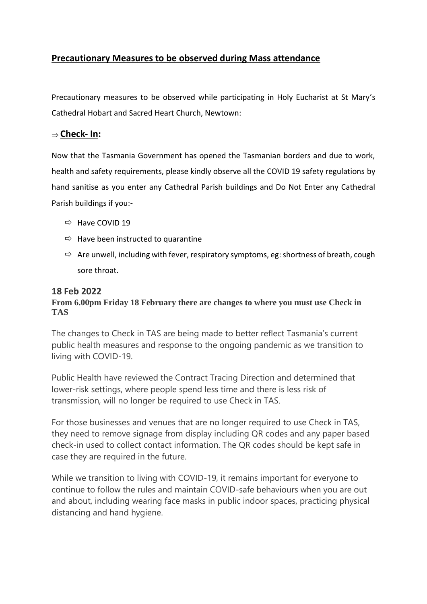# **Precautionary Measures to be observed during Mass attendance**

Precautionary measures to be observed while participating in Holy Eucharist at St Mary's Cathedral Hobart and Sacred Heart Church, Newtown:

## **Check- In:**

Now that the Tasmania Government has opened the Tasmanian borders and due to work, health and safety requirements, please kindly observe all the COVID 19 safety regulations by hand sanitise as you enter any Cathedral Parish buildings and Do Not Enter any Cathedral Parish buildings if you:-

- $\Rightarrow$  Have COVID 19
- $\Rightarrow$  Have been instructed to quarantine
- $\Rightarrow$  Are unwell, including with fever, respiratory symptoms, eg: shortness of breath, cough sore throat.

### **18 Feb 2022**

### **From 6.00pm Friday 18 February there are changes to where you must use Check in TAS**

The changes to Check in TAS are being made to better reflect Tasmania's current public health measures and response to the ongoing pandemic as we transition to living with COVID-19.

Public Health have reviewed the Contract Tracing Direction and determined that lower-risk settings, where people spend less time and there is less risk of transmission, will no longer be required to use Check in TAS.

For those businesses and venues that are no longer required to use Check in TAS, they need to remove signage from display including QR codes and any paper based check-in used to collect contact information. The QR codes should be kept safe in case they are required in the future.

While we transition to living with COVID-19, it remains important for everyone to continue to follow the rules and maintain COVID-safe behaviours when you are out and about, including wearing face masks in public indoor spaces, practicing physical distancing and hand hygiene.